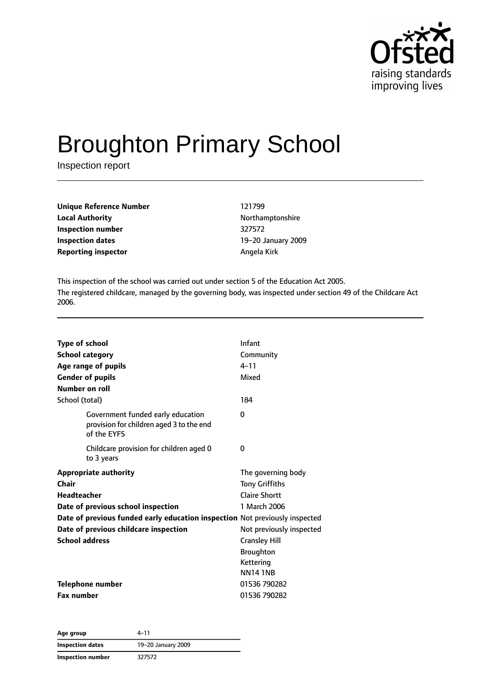

# Broughton Primary School

Inspection report

| <b>Unique Reference Number</b><br><b>Local Authority</b> | 121799  |
|----------------------------------------------------------|---------|
|                                                          | Northal |
| Inspection number                                        | 327572  |
| Inspection dates                                         | 19–20.  |
| <b>Reporting inspector</b>                               | Angela  |

**Local Authority** Northamptonshire **Inspection number** 327572 **Inspection dates** 19–20 January 2009 **Reporting inspector** Angela Kirk

This inspection of the school was carried out under section 5 of the Education Act 2005. The registered childcare, managed by the governing body, was inspected under section 49 of the Childcare Act 2006.

| School (total)<br>184<br>Government funded early education<br>0<br>provision for children aged 3 to the end<br>of the EYFS<br>Childcare provision for children aged 0<br>0<br>to 3 years<br><b>Appropriate authority</b><br>The governing body<br>Chair<br><b>Tony Griffiths</b><br><b>Headteacher</b><br>Claire Shortt<br>1 March 2006<br>Date of previous school inspection<br>Date of previous funded early education inspection Not previously inspected<br>Date of previous childcare inspection<br>Not previously inspected<br><b>School address</b><br><b>Cransley Hill</b><br>Broughton<br>Kettering<br><b>NN141NB</b><br><b>Telephone number</b><br>01536 790282<br><b>Fax number</b><br>01536 790282 | <b>Type of school</b><br><b>School category</b><br>Age range of pupils<br><b>Gender of pupils</b><br>Number on roll | Infant<br>Community<br>$4 - 11$<br>Mixed |
|----------------------------------------------------------------------------------------------------------------------------------------------------------------------------------------------------------------------------------------------------------------------------------------------------------------------------------------------------------------------------------------------------------------------------------------------------------------------------------------------------------------------------------------------------------------------------------------------------------------------------------------------------------------------------------------------------------------|---------------------------------------------------------------------------------------------------------------------|------------------------------------------|
|                                                                                                                                                                                                                                                                                                                                                                                                                                                                                                                                                                                                                                                                                                                |                                                                                                                     |                                          |
|                                                                                                                                                                                                                                                                                                                                                                                                                                                                                                                                                                                                                                                                                                                |                                                                                                                     |                                          |
|                                                                                                                                                                                                                                                                                                                                                                                                                                                                                                                                                                                                                                                                                                                |                                                                                                                     |                                          |
|                                                                                                                                                                                                                                                                                                                                                                                                                                                                                                                                                                                                                                                                                                                |                                                                                                                     |                                          |
|                                                                                                                                                                                                                                                                                                                                                                                                                                                                                                                                                                                                                                                                                                                |                                                                                                                     |                                          |
|                                                                                                                                                                                                                                                                                                                                                                                                                                                                                                                                                                                                                                                                                                                |                                                                                                                     |                                          |
|                                                                                                                                                                                                                                                                                                                                                                                                                                                                                                                                                                                                                                                                                                                |                                                                                                                     |                                          |
|                                                                                                                                                                                                                                                                                                                                                                                                                                                                                                                                                                                                                                                                                                                |                                                                                                                     |                                          |
|                                                                                                                                                                                                                                                                                                                                                                                                                                                                                                                                                                                                                                                                                                                |                                                                                                                     |                                          |

**Age group** 4–11 **Inspection dates** 19–20 January 2009 **Inspection number** 327572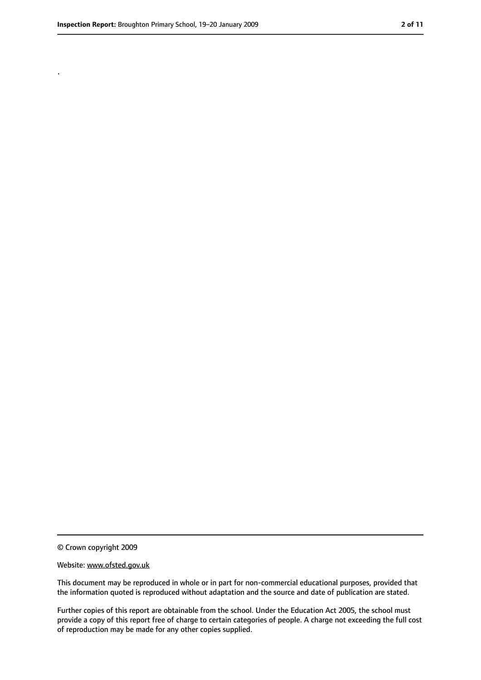.

<sup>©</sup> Crown copyright 2009

Website: www.ofsted.gov.uk

This document may be reproduced in whole or in part for non-commercial educational purposes, provided that the information quoted is reproduced without adaptation and the source and date of publication are stated.

Further copies of this report are obtainable from the school. Under the Education Act 2005, the school must provide a copy of this report free of charge to certain categories of people. A charge not exceeding the full cost of reproduction may be made for any other copies supplied.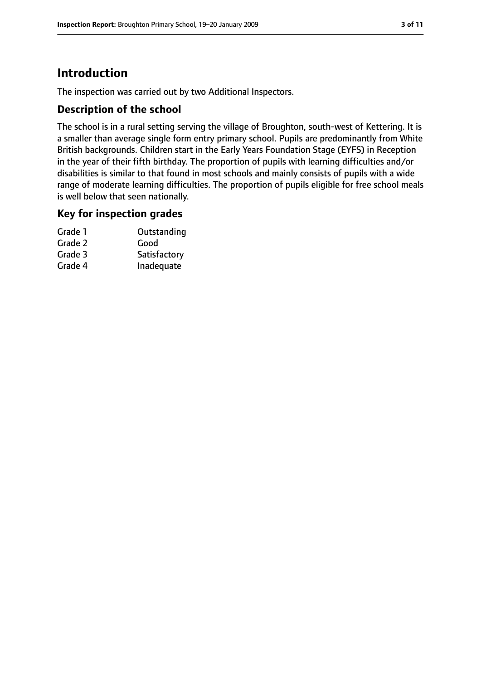# **Introduction**

The inspection was carried out by two Additional Inspectors.

#### **Description of the school**

The school is in a rural setting serving the village of Broughton, south-west of Kettering. It is a smaller than average single form entry primary school. Pupils are predominantly from White British backgrounds. Children start in the Early Years Foundation Stage (EYFS) in Reception in the year of their fifth birthday. The proportion of pupils with learning difficulties and/or disabilities is similar to that found in most schools and mainly consists of pupils with a wide range of moderate learning difficulties. The proportion of pupils eligible for free school meals is well below that seen nationally.

#### **Key for inspection grades**

| Outstanding  |
|--------------|
| Good         |
| Satisfactory |
| Inadequate   |
|              |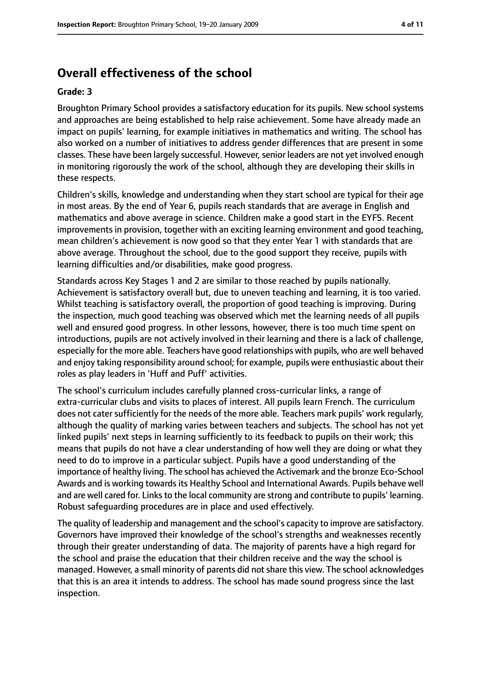# **Overall effectiveness of the school**

#### **Grade: 3**

Broughton Primary School provides a satisfactory education for its pupils. New school systems and approaches are being established to help raise achievement. Some have already made an impact on pupils' learning, for example initiatives in mathematics and writing. The school has also worked on a number of initiatives to address gender differences that are present in some classes. These have been largely successful. However, senior leaders are not yet involved enough in monitoring rigorously the work of the school, although they are developing their skills in these respects.

Children's skills, knowledge and understanding when they start school are typical for their age in most areas. By the end of Year 6, pupils reach standards that are average in English and mathematics and above average in science. Children make a good start in the EYFS. Recent improvements in provision, together with an exciting learning environment and good teaching, mean children's achievement is now good so that they enter Year 1 with standards that are above average. Throughout the school, due to the good support they receive, pupils with learning difficulties and/or disabilities, make good progress.

Standards across Key Stages 1 and 2 are similar to those reached by pupils nationally. Achievement is satisfactory overall but, due to uneven teaching and learning, it is too varied. Whilst teaching is satisfactory overall, the proportion of good teaching is improving. During the inspection, much good teaching was observed which met the learning needs of all pupils well and ensured good progress. In other lessons, however, there is too much time spent on introductions, pupils are not actively involved in their learning and there is a lack of challenge, especially for the more able. Teachers have good relationships with pupils, who are well behaved and enjoy taking responsibility around school; for example, pupils were enthusiastic about their roles as play leaders in 'Huff and Puff' activities.

The school's curriculum includes carefully planned cross-curricular links, a range of extra-curricular clubs and visits to places of interest. All pupils learn French. The curriculum does not cater sufficiently for the needs of the more able. Teachers mark pupils' work regularly, although the quality of marking varies between teachers and subjects. The school has not yet linked pupils' next steps in learning sufficiently to its feedback to pupils on their work; this means that pupils do not have a clear understanding of how well they are doing or what they need to do to improve in a particular subject. Pupils have a good understanding of the importance of healthy living. The school has achieved the Activemark and the bronze Eco-School Awards and is working towards its Healthy School and International Awards. Pupils behave well and are well cared for. Links to the local community are strong and contribute to pupils' learning. Robust safeguarding procedures are in place and used effectively.

The quality of leadership and management and the school's capacity to improve are satisfactory. Governors have improved their knowledge of the school's strengths and weaknesses recently through their greater understanding of data. The majority of parents have a high regard for the school and praise the education that their children receive and the way the school is managed. However, a small minority of parents did not share this view. The school acknowledges that this is an area it intends to address. The school has made sound progress since the last inspection.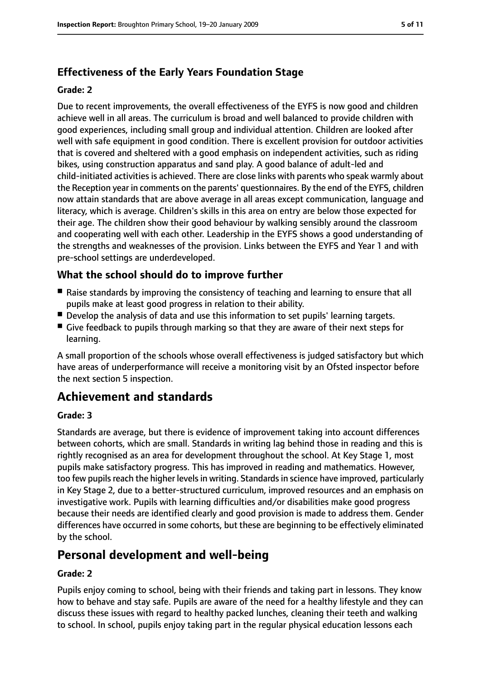## **Effectiveness of the Early Years Foundation Stage**

#### **Grade: 2**

Due to recent improvements, the overall effectiveness of the EYFS is now good and children achieve well in all areas. The curriculum is broad and well balanced to provide children with good experiences, including small group and individual attention. Children are looked after well with safe equipment in good condition. There is excellent provision for outdoor activities that is covered and sheltered with a good emphasis on independent activities, such as riding bikes, using construction apparatus and sand play. A good balance of adult-led and child-initiated activities is achieved. There are close links with parents who speak warmly about the Reception year in comments on the parents' questionnaires. By the end of the EYFS, children now attain standards that are above average in all areas except communication, language and literacy, which is average. Children's skills in this area on entry are below those expected for their age. The children show their good behaviour by walking sensibly around the classroom and cooperating well with each other. Leadership in the EYFS shows a good understanding of the strengths and weaknesses of the provision. Links between the EYFS and Year 1 and with pre-school settings are underdeveloped.

## **What the school should do to improve further**

- Raise standards by improving the consistency of teaching and learning to ensure that all pupils make at least good progress in relation to their ability.
- Develop the analysis of data and use this information to set pupils' learning targets.
- Give feedback to pupils through marking so that they are aware of their next steps for learning.

A small proportion of the schools whose overall effectiveness is judged satisfactory but which have areas of underperformance will receive a monitoring visit by an Ofsted inspector before the next section 5 inspection.

# **Achievement and standards**

#### **Grade: 3**

Standards are average, but there is evidence of improvement taking into account differences between cohorts, which are small. Standards in writing lag behind those in reading and this is rightly recognised as an area for development throughout the school. At Key Stage 1, most pupils make satisfactory progress. This has improved in reading and mathematics. However, too few pupils reach the higher levels in writing. Standards in science have improved, particularly in Key Stage 2, due to a better-structured curriculum, improved resources and an emphasis on investigative work. Pupils with learning difficulties and/or disabilities make good progress because their needs are identified clearly and good provision is made to address them. Gender differences have occurred in some cohorts, but these are beginning to be effectively eliminated by the school.

## **Personal development and well-being**

#### **Grade: 2**

Pupils enjoy coming to school, being with their friends and taking part in lessons. They know how to behave and stay safe. Pupils are aware of the need for a healthy lifestyle and they can discuss these issues with regard to healthy packed lunches, cleaning their teeth and walking to school. In school, pupils enjoy taking part in the regular physical education lessons each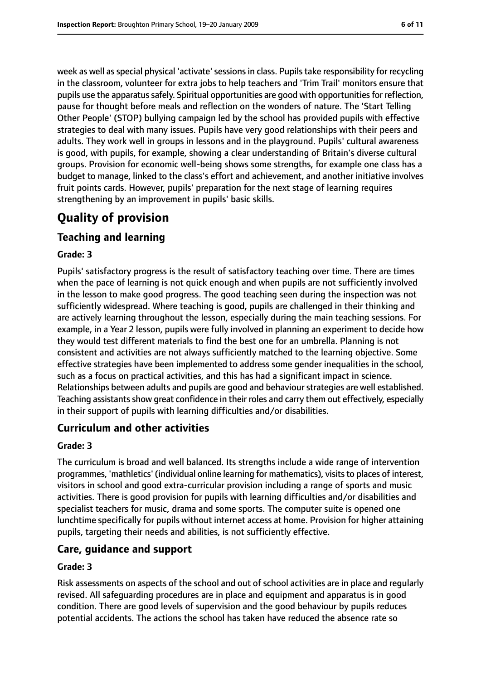week as well as special physical 'activate' sessions in class. Pupils take responsibility for recycling in the classroom, volunteer for extra jobs to help teachers and 'Trim Trail' monitors ensure that pupils use the apparatussafely. Spiritual opportunities are good with opportunitiesfor reflection, pause for thought before meals and reflection on the wonders of nature. The 'Start Telling Other People' (STOP) bullying campaign led by the school has provided pupils with effective strategies to deal with many issues. Pupils have very good relationships with their peers and adults. They work well in groups in lessons and in the playground. Pupils' cultural awareness is good, with pupils, for example, showing a clear understanding of Britain's diverse cultural groups. Provision for economic well-being shows some strengths, for example one class has a budget to manage, linked to the class's effort and achievement, and another initiative involves fruit points cards. However, pupils' preparation for the next stage of learning requires strengthening by an improvement in pupils' basic skills.

# **Quality of provision**

## **Teaching and learning**

#### **Grade: 3**

Pupils' satisfactory progress is the result of satisfactory teaching over time. There are times when the pace of learning is not quick enough and when pupils are not sufficiently involved in the lesson to make good progress. The good teaching seen during the inspection was not sufficiently widespread. Where teaching is good, pupils are challenged in their thinking and are actively learning throughout the lesson, especially during the main teaching sessions. For example, in a Year 2 lesson, pupils were fully involved in planning an experiment to decide how they would test different materials to find the best one for an umbrella. Planning is not consistent and activities are not always sufficiently matched to the learning objective. Some effective strategies have been implemented to address some gender inequalities in the school, such as a focus on practical activities, and this has had a significant impact in science. Relationships between adults and pupils are good and behaviour strategies are well established. Teaching assistants show great confidence in their roles and carry them out effectively, especially in their support of pupils with learning difficulties and/or disabilities.

#### **Curriculum and other activities**

#### **Grade: 3**

The curriculum is broad and well balanced. Its strengths include a wide range of intervention programmes, 'mathletics' (individual online learning for mathematics), visitsto places of interest, visitors in school and good extra-curricular provision including a range of sports and music activities. There is good provision for pupils with learning difficulties and/or disabilities and specialist teachers for music, drama and some sports. The computer suite is opened one lunchtime specifically for pupils without internet access at home. Provision for higher attaining pupils, targeting their needs and abilities, is not sufficiently effective.

#### **Care, guidance and support**

#### **Grade: 3**

Risk assessments on aspects of the school and out of school activities are in place and regularly revised. All safeguarding procedures are in place and equipment and apparatus is in good condition. There are good levels of supervision and the good behaviour by pupils reduces potential accidents. The actions the school has taken have reduced the absence rate so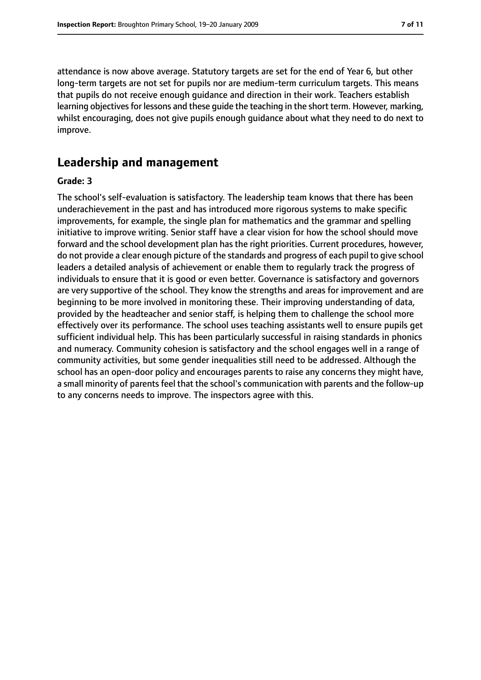attendance is now above average. Statutory targets are set for the end of Year 6, but other long-term targets are not set for pupils nor are medium-term curriculum targets. This means that pupils do not receive enough guidance and direction in their work. Teachers establish learning objectives for lessons and these guide the teaching in the short term. However, marking, whilst encouraging, does not give pupils enough guidance about what they need to do next to improve.

#### **Leadership and management**

#### **Grade: 3**

The school's self-evaluation is satisfactory. The leadership team knows that there has been underachievement in the past and has introduced more rigorous systems to make specific improvements, for example, the single plan for mathematics and the grammar and spelling initiative to improve writing. Senior staff have a clear vision for how the school should move forward and the school development plan has the right priorities. Current procedures, however, do not provide a clear enough picture of the standards and progress of each pupil to give school leaders a detailed analysis of achievement or enable them to regularly track the progress of individuals to ensure that it is good or even better. Governance is satisfactory and governors are very supportive of the school. They know the strengths and areas for improvement and are beginning to be more involved in monitoring these. Their improving understanding of data, provided by the headteacher and senior staff, is helping them to challenge the school more effectively over its performance. The school uses teaching assistants well to ensure pupils get sufficient individual help. This has been particularly successful in raising standards in phonics and numeracy. Community cohesion is satisfactory and the school engages well in a range of community activities, but some gender inequalities still need to be addressed. Although the school has an open-door policy and encourages parents to raise any concerns they might have, a small minority of parents feel that the school's communication with parents and the follow-up to any concerns needs to improve. The inspectors agree with this.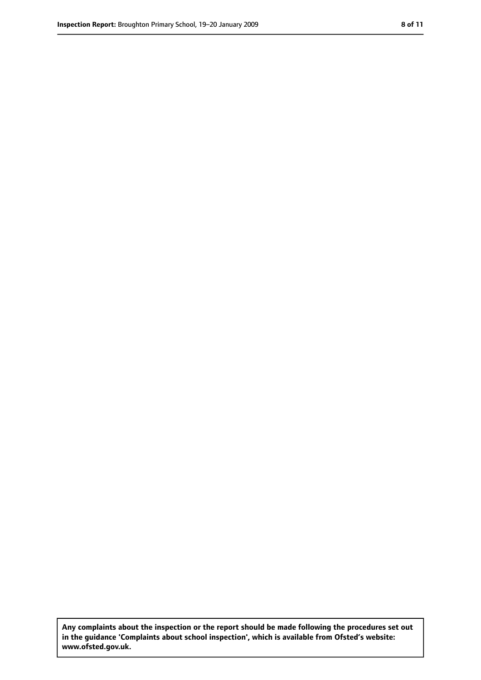**Any complaints about the inspection or the report should be made following the procedures set out in the guidance 'Complaints about school inspection', which is available from Ofsted's website: www.ofsted.gov.uk.**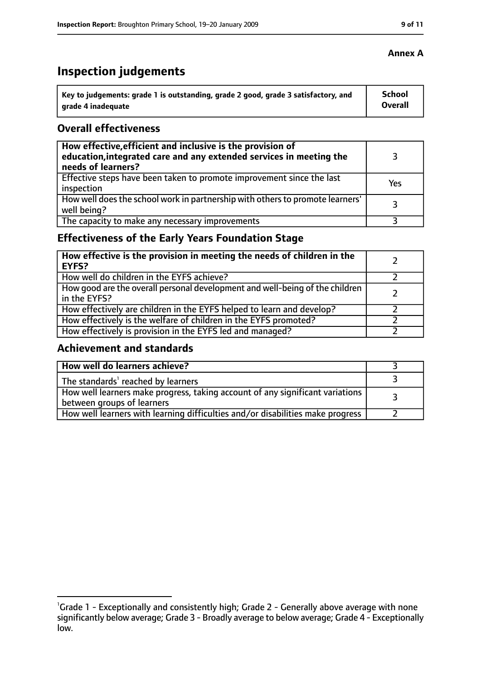# **Inspection judgements**

| Key to judgements: grade 1 is outstanding, grade 2 good, grade 3 satisfactory, and | <b>School</b>  |
|------------------------------------------------------------------------------------|----------------|
| arade 4 inadequate                                                                 | <b>Overall</b> |

#### **Overall effectiveness**

| How effective, efficient and inclusive is the provision of<br>education, integrated care and any extended services in meeting the<br>needs of learners? |     |
|---------------------------------------------------------------------------------------------------------------------------------------------------------|-----|
| Effective steps have been taken to promote improvement since the last<br>inspection                                                                     | Yes |
| How well does the school work in partnership with others to promote learners'<br>well being?                                                            | २   |
| The capacity to make any necessary improvements                                                                                                         |     |

## **Effectiveness of the Early Years Foundation Stage**

| How effective is the provision in meeting the needs of children in the<br>l EYFS?              |  |
|------------------------------------------------------------------------------------------------|--|
| How well do children in the EYFS achieve?                                                      |  |
| How good are the overall personal development and well-being of the children<br>I in the EYFS? |  |
| How effectively are children in the EYFS helped to learn and develop?                          |  |
| How effectively is the welfare of children in the EYFS promoted?                               |  |
| How effectively is provision in the EYFS led and managed?                                      |  |

### **Achievement and standards**

| How well do learners achieve?                                                                               |  |
|-------------------------------------------------------------------------------------------------------------|--|
| The standards <sup>1</sup> reached by learners                                                              |  |
| How well learners make progress, taking account of any significant variations<br>between groups of learners |  |
| How well learners with learning difficulties and/or disabilities make progress                              |  |

#### **Annex A**

<sup>&</sup>lt;sup>1</sup>Grade 1 - Exceptionally and consistently high; Grade 2 - Generally above average with none significantly below average; Grade 3 - Broadly average to below average; Grade 4 - Exceptionally low.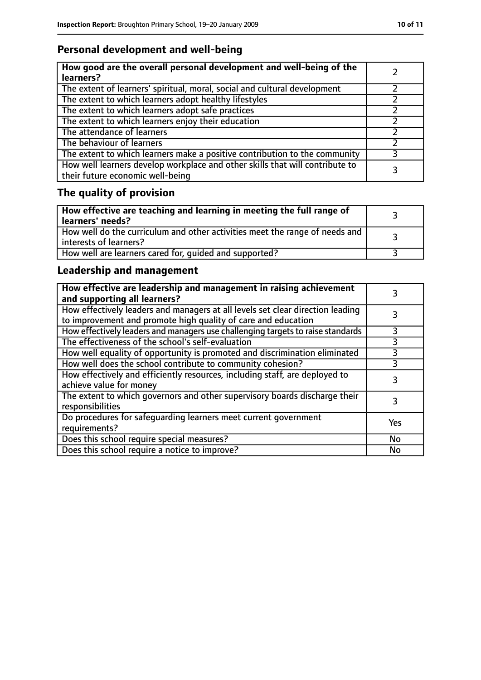# **Personal development and well-being**

| How good are the overall personal development and well-being of the<br>learners?                                 |  |
|------------------------------------------------------------------------------------------------------------------|--|
| The extent of learners' spiritual, moral, social and cultural development                                        |  |
| The extent to which learners adopt healthy lifestyles                                                            |  |
| The extent to which learners adopt safe practices                                                                |  |
| The extent to which learners enjoy their education                                                               |  |
| The attendance of learners                                                                                       |  |
| The behaviour of learners                                                                                        |  |
| The extent to which learners make a positive contribution to the community                                       |  |
| How well learners develop workplace and other skills that will contribute to<br>their future economic well-being |  |

# **The quality of provision**

| How effective are teaching and learning in meeting the full range of<br>  learners' needs?              |  |
|---------------------------------------------------------------------------------------------------------|--|
| How well do the curriculum and other activities meet the range of needs and<br>  interests of learners? |  |
| How well are learners cared for, quided and supported?                                                  |  |

## **Leadership and management**

| How effective are leadership and management in raising achievement<br>and supporting all learners?                                              |     |
|-------------------------------------------------------------------------------------------------------------------------------------------------|-----|
| How effectively leaders and managers at all levels set clear direction leading<br>to improvement and promote high quality of care and education |     |
| How effectively leaders and managers use challenging targets to raise standards                                                                 |     |
| The effectiveness of the school's self-evaluation                                                                                               | 3   |
| How well equality of opportunity is promoted and discrimination eliminated                                                                      | 3   |
| How well does the school contribute to community cohesion?                                                                                      | 3   |
| How effectively and efficiently resources, including staff, are deployed to<br>achieve value for money                                          | 3   |
| The extent to which governors and other supervisory boards discharge their<br>responsibilities                                                  |     |
| Do procedures for safequarding learners meet current government<br>requirements?                                                                | Yes |
| Does this school require special measures?                                                                                                      | No  |
| Does this school require a notice to improve?                                                                                                   | No  |